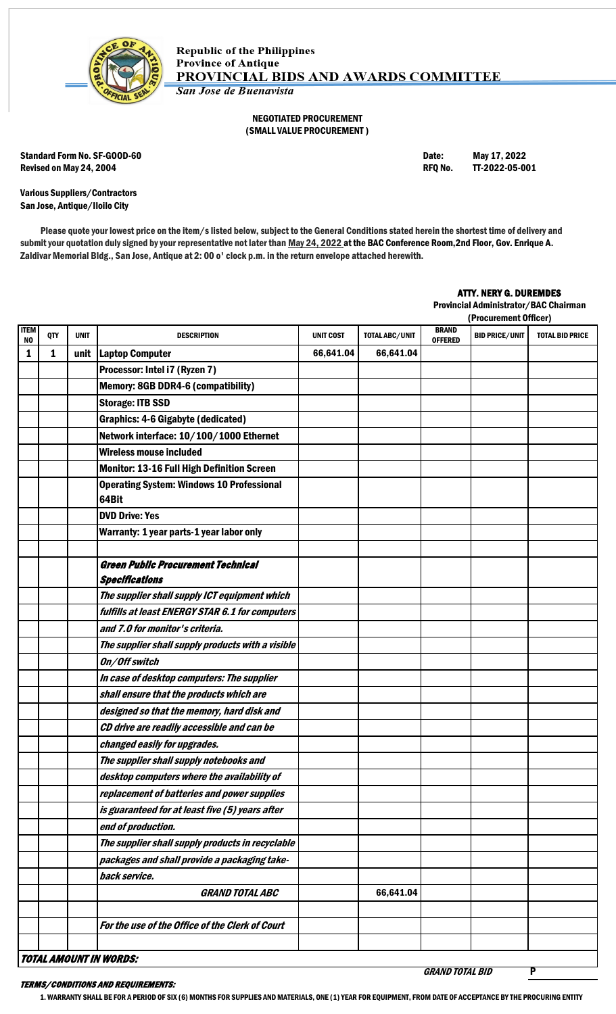

## NEGOTIATED PROCUREMENT (SMALL VALUE PROCUREMENT )

Standard Form No. SF-GOOD-60 **Date:** May 17, 2022 Revised on May 24, 2004 **Review of Account 2006** RFQ No. **TT-2022-05-001** RFQ No. **TT-2022-05-001** 

Various Suppliers/Contractors San Jose, Antique/Iloilo City

Please quote your lowest price on the item/s listed below, subject to the General Conditions stated herein the shortest time of delivery and submit your quotation duly signed by your representative not later than May 24, 2022 at the BAC Conference Room, 2nd Floor, Gov. Enrique A. Zaldivar Memorial Bldg., San Jose, Antique at 2: 00 o' clock p.m. in the return envelope attached herewith.

## ATTY. NERY G. DUREMDES

Provincial Administrator/BAC Chairman

|                    |     |             |                                                                    |                  |                |                                | (Procurement Officer) |                        |
|--------------------|-----|-------------|--------------------------------------------------------------------|------------------|----------------|--------------------------------|-----------------------|------------------------|
| <b>ITEM</b><br>NO. | QTY | <b>UNIT</b> | <b>DESCRIPTION</b>                                                 | <b>UNIT COST</b> | TOTAL ABC/UNIT | <b>BRAND</b><br><b>OFFERED</b> | <b>BID PRICE/UNIT</b> | <b>TOTAL BID PRICE</b> |
| 1                  | 1   | unit        | <b>Laptop Computer</b>                                             | 66,641.04        | 66,641.04      |                                |                       |                        |
|                    |     |             | Processor: Intel i7 (Ryzen 7)                                      |                  |                |                                |                       |                        |
|                    |     |             | <b>Memory: 8GB DDR4-6 (compatibility)</b>                          |                  |                |                                |                       |                        |
|                    |     |             | <b>Storage: ITB SSD</b>                                            |                  |                |                                |                       |                        |
|                    |     |             | <b>Graphics: 4-6 Gigabyte (dedicated)</b>                          |                  |                |                                |                       |                        |
|                    |     |             | Network interface: 10/100/1000 Ethernet                            |                  |                |                                |                       |                        |
|                    |     |             | <b>Wireless mouse included</b>                                     |                  |                |                                |                       |                        |
|                    |     |             | <b>Monitor: 13-16 Full High Definition Screen</b>                  |                  |                |                                |                       |                        |
|                    |     |             | <b>Operating System: Windows 10 Professional</b><br>64Bit          |                  |                |                                |                       |                        |
|                    |     |             | <b>DVD Drive: Yes</b>                                              |                  |                |                                |                       |                        |
|                    |     |             | Warranty: 1 year parts-1 year labor only                           |                  |                |                                |                       |                        |
|                    |     |             |                                                                    |                  |                |                                |                       |                        |
|                    |     |             | <b>Green Public Procurement Technical</b><br><b>Specifications</b> |                  |                |                                |                       |                        |
|                    |     |             | The supplier shall supply ICT equipment which                      |                  |                |                                |                       |                        |
|                    |     |             | fulfills at least ENERGY STAR 6.1 for computers                    |                  |                |                                |                       |                        |
|                    |     |             | and 7.0 for monitor's criteria.                                    |                  |                |                                |                       |                        |
|                    |     |             | The supplier shall supply products with a visible                  |                  |                |                                |                       |                        |
|                    |     |             | On/Off switch                                                      |                  |                |                                |                       |                        |
|                    |     |             | In case of desktop computers: The supplier                         |                  |                |                                |                       |                        |
|                    |     |             | shall ensure that the products which are                           |                  |                |                                |                       |                        |
|                    |     |             | designed so that the memory, hard disk and                         |                  |                |                                |                       |                        |
|                    |     |             | CD drive are readily accessible and can be                         |                  |                |                                |                       |                        |
|                    |     |             | changed easily for upgrades.                                       |                  |                |                                |                       |                        |
|                    |     |             | The supplier shall supply notebooks and                            |                  |                |                                |                       |                        |
|                    |     |             | desktop computers where the availability of                        |                  |                |                                |                       |                        |
|                    |     |             | replacement of batteries and power supplies                        |                  |                |                                |                       |                        |
|                    |     |             | is guaranteed for at least five (5) years after                    |                  |                |                                |                       |                        |
|                    |     |             | end of production.                                                 |                  |                |                                |                       |                        |
|                    |     |             | The supplier shall supply products in recyclable                   |                  |                |                                |                       |                        |
|                    |     |             | packages and shall provide a packaging take-                       |                  |                |                                |                       |                        |
|                    |     |             | back service.                                                      |                  |                |                                |                       |                        |
|                    |     |             | <b>GRAND TOTAL ABC</b>                                             |                  | 66,641.04      |                                |                       |                        |
|                    |     |             |                                                                    |                  |                |                                |                       |                        |
|                    |     |             | For the use of the Office of the Clerk of Court                    |                  |                |                                |                       |                        |
|                    |     |             |                                                                    |                  |                |                                |                       |                        |
|                    |     |             | <b>TOTAL AMOUNT IN WORDS:</b>                                      |                  |                |                                |                       |                        |

## TERMS/CONDITIONS AND REQUIREMENTS:

GRAND TOTAL BID P

1. WARRANTY SHALL BE FOR A PERIOD OF SIX (6) MONTHS FOR SUPPLIES AND MATERIALS, ONE (1) YEAR FOR EQUIPMENT, FROM DATE OF ACCEPTANCE BY THE PROCURING ENTITY